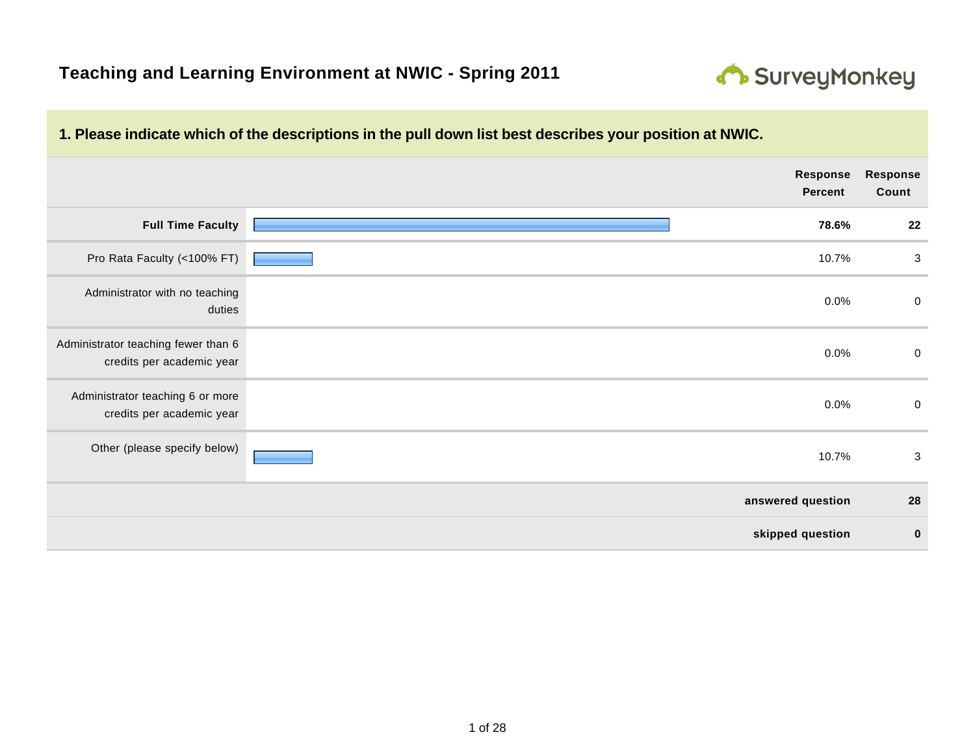

|                                                                  | Response<br><b>Percent</b> | Response<br>Count |
|------------------------------------------------------------------|----------------------------|-------------------|
| <b>Full Time Faculty</b>                                         | 78.6%                      | 22                |
| Pro Rata Faculty (<100% FT)                                      | 10.7%                      | 3                 |
| Administrator with no teaching<br>duties                         | 0.0%                       | $\boldsymbol{0}$  |
| Administrator teaching fewer than 6<br>credits per academic year | 0.0%                       | $\pmb{0}$         |
| Administrator teaching 6 or more<br>credits per academic year    | 0.0%                       | $\boldsymbol{0}$  |
| Other (please specify below)                                     | 10.7%                      | $\sqrt{3}$        |
|                                                                  | answered question          | 28                |
|                                                                  | skipped question           | $\bf{0}$          |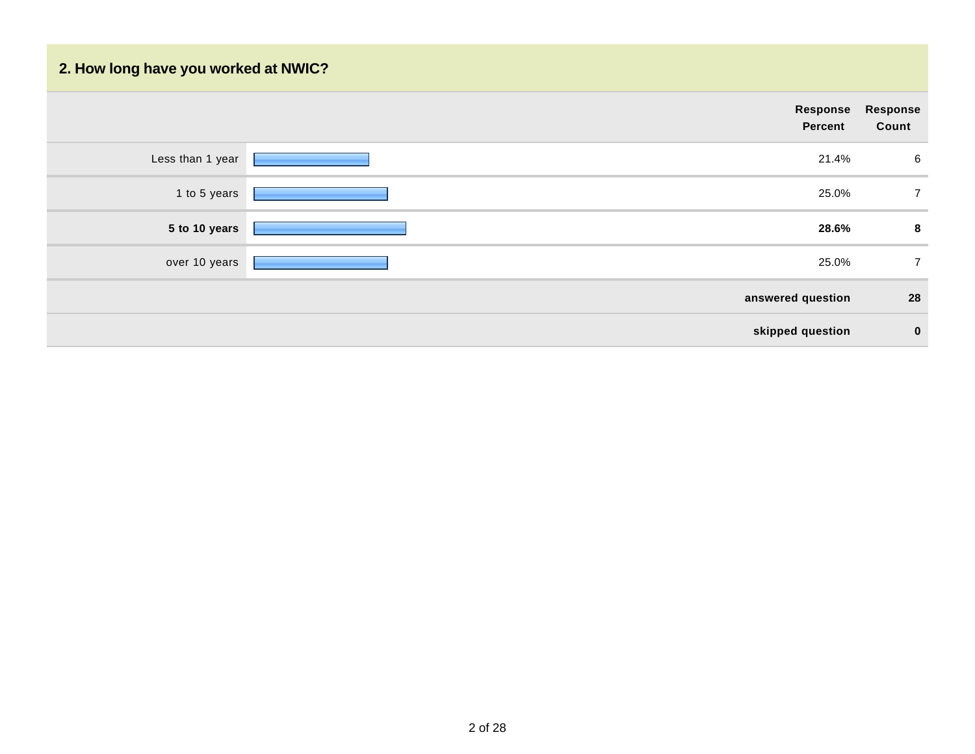## **2. How long have you worked at NWIC?**

| Response<br>Count<br><b>Percent</b><br>Less than 1 year<br>21.4%<br>1 to 5 years<br>25.0%<br>28.6%<br>5 to 10 years<br>25.0%<br>over 10 years<br>answered question<br>skipped question |                |  |
|----------------------------------------------------------------------------------------------------------------------------------------------------------------------------------------|----------------|--|
|                                                                                                                                                                                        | Response       |  |
|                                                                                                                                                                                        | 6              |  |
|                                                                                                                                                                                        | $\overline{7}$ |  |
|                                                                                                                                                                                        | 8              |  |
|                                                                                                                                                                                        | $\overline{7}$ |  |
|                                                                                                                                                                                        | 28             |  |
|                                                                                                                                                                                        | $\bf{0}$       |  |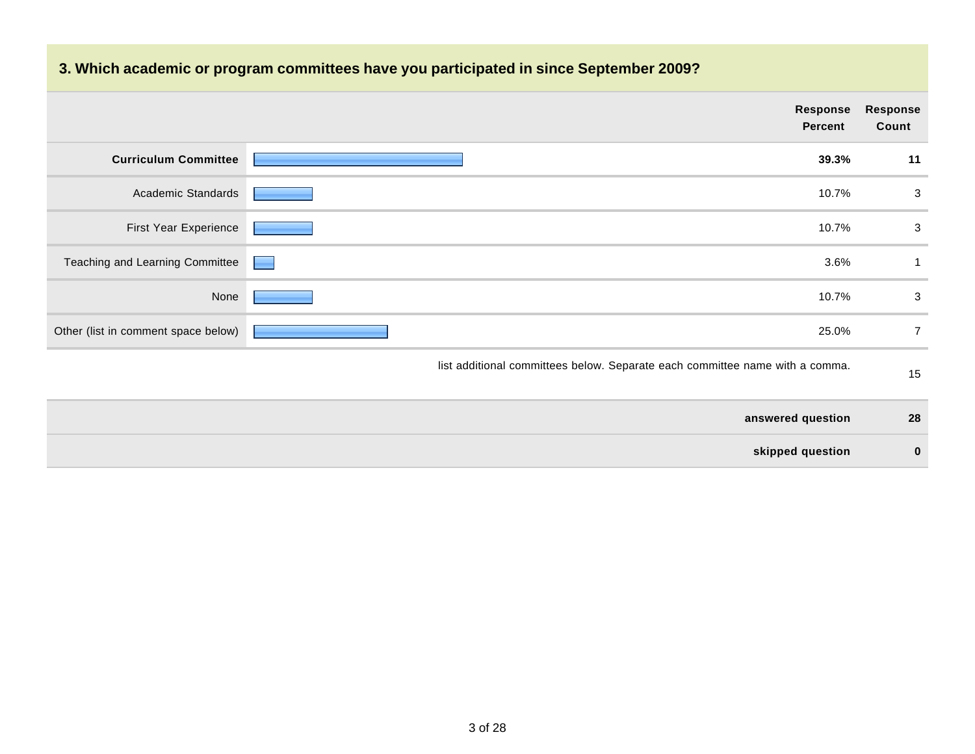## **3. Which academic or program committees have you participated in since September 2009?**

|                                     | Response<br>Percent                                                          | <b>Response</b><br>Count |
|-------------------------------------|------------------------------------------------------------------------------|--------------------------|
| <b>Curriculum Committee</b>         | 39.3%                                                                        | 11                       |
| Academic Standards                  | 10.7%                                                                        | 3                        |
| First Year Experience               | 10.7%                                                                        | 3                        |
| Teaching and Learning Committee     | 3.6%                                                                         |                          |
| None                                | 10.7%                                                                        | 3                        |
| Other (list in comment space below) | 25.0%                                                                        | 7                        |
|                                     | list additional committees below. Separate each committee name with a comma. | 15                       |

| answered question | 28 |
|-------------------|----|
| skipped question  |    |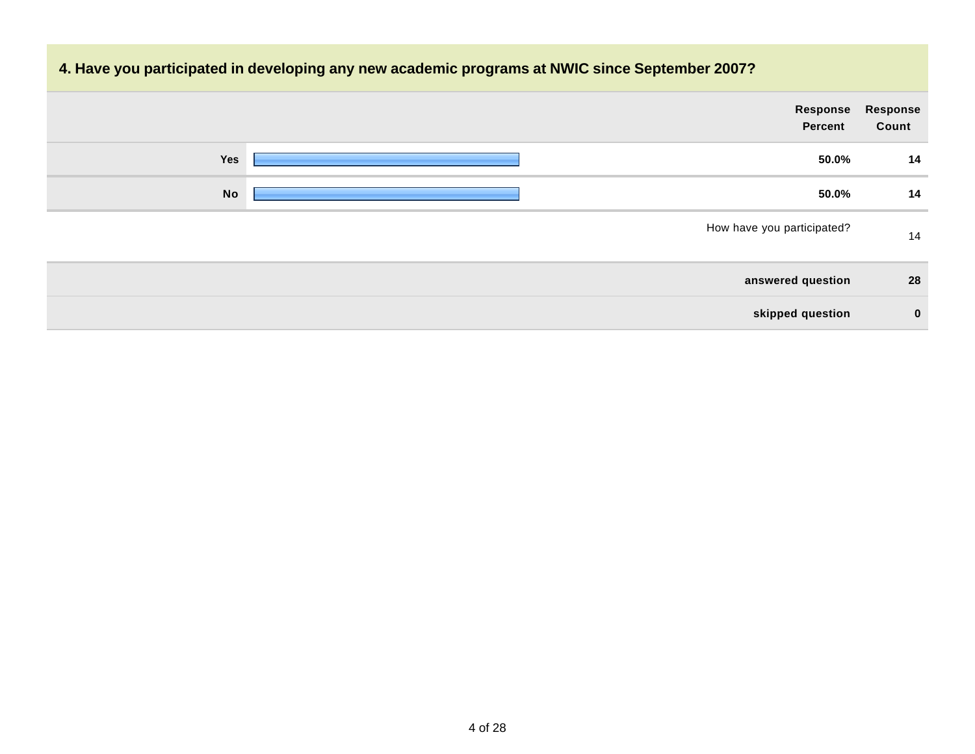# **4. Have you participated in developing any new academic programs at NWIC since September 2007? Response Percent Response Count Yes 50.0% 14 No 50.0% 14** How have you participated? 14 **answered question 28 skipped question 0**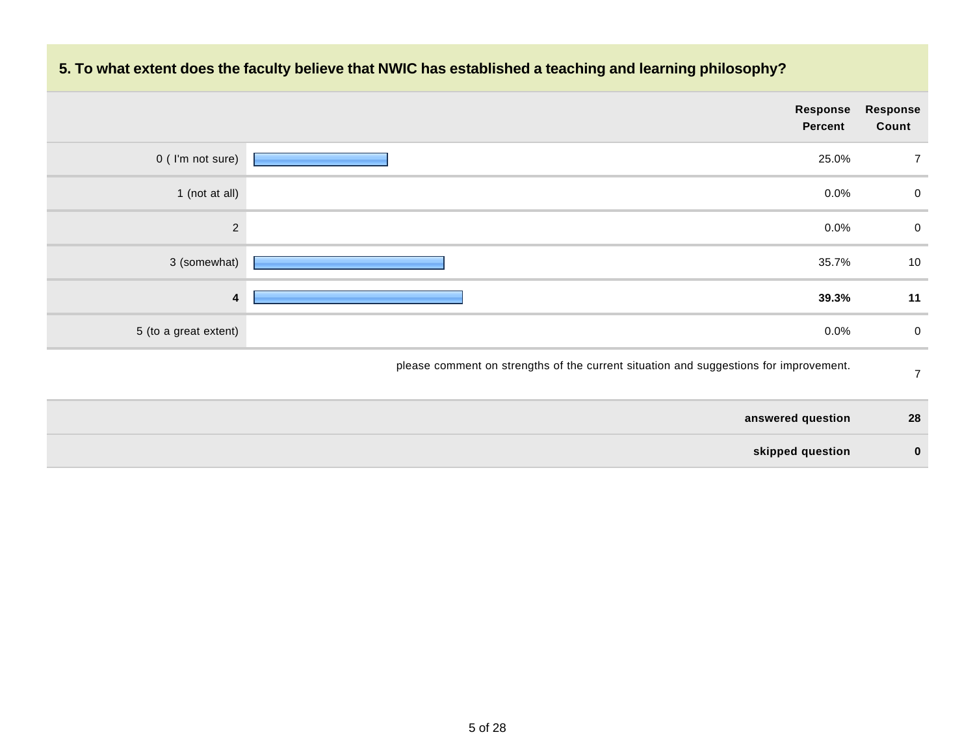

### **5. To what extent does the faculty believe that NWIC has established a teaching and learning philosophy?**

| answered question | 28       |
|-------------------|----------|
| skipped question  | $\Omega$ |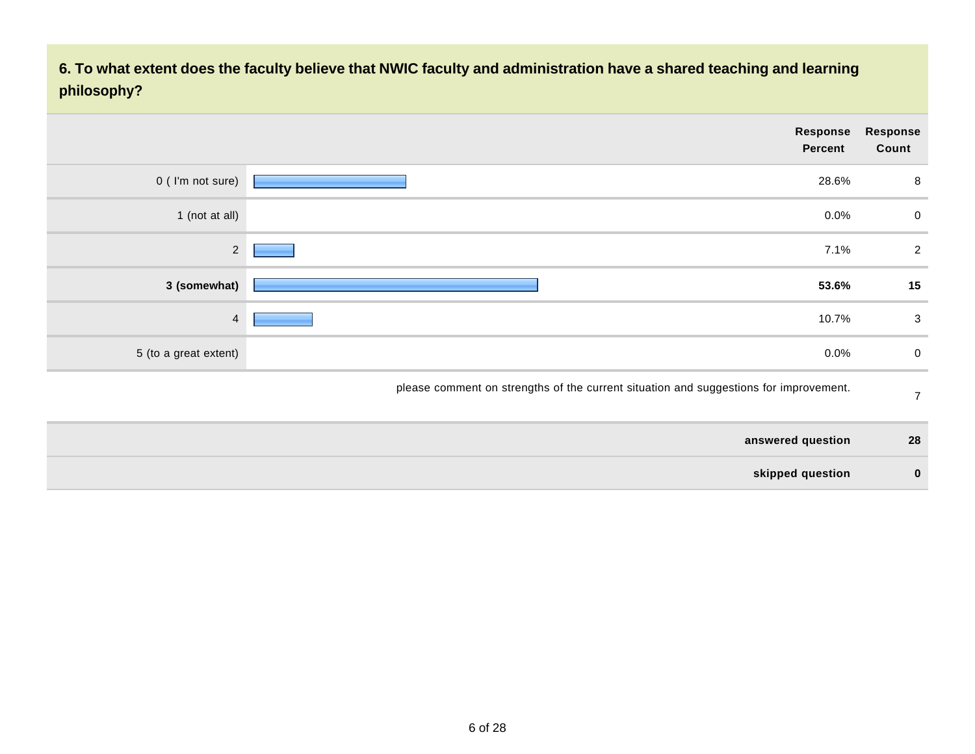**6. To what extent does the faculty believe that NWIC faculty and administration have a shared teaching and learning philosophy?**

|                       | Response<br><b>Percent</b>                                                            | Response<br>Count |
|-----------------------|---------------------------------------------------------------------------------------|-------------------|
| 0 (I'm not sure)      | 28.6%                                                                                 | 8                 |
| 1 (not at all)        | 0.0%                                                                                  | $\mathbf 0$       |
| $2^{\circ}$           | 7.1%                                                                                  | $\overline{2}$    |
| 3 (somewhat)          | 53.6%                                                                                 | 15                |
| $\overline{4}$        | 10.7%                                                                                 | 3                 |
| 5 (to a great extent) | 0.0%                                                                                  | $\mathbf 0$       |
|                       | please comment on strengths of the current situation and suggestions for improvement. | $\overline{7}$    |

| answered question | 28       |
|-------------------|----------|
| skipped question  | $\bf{0}$ |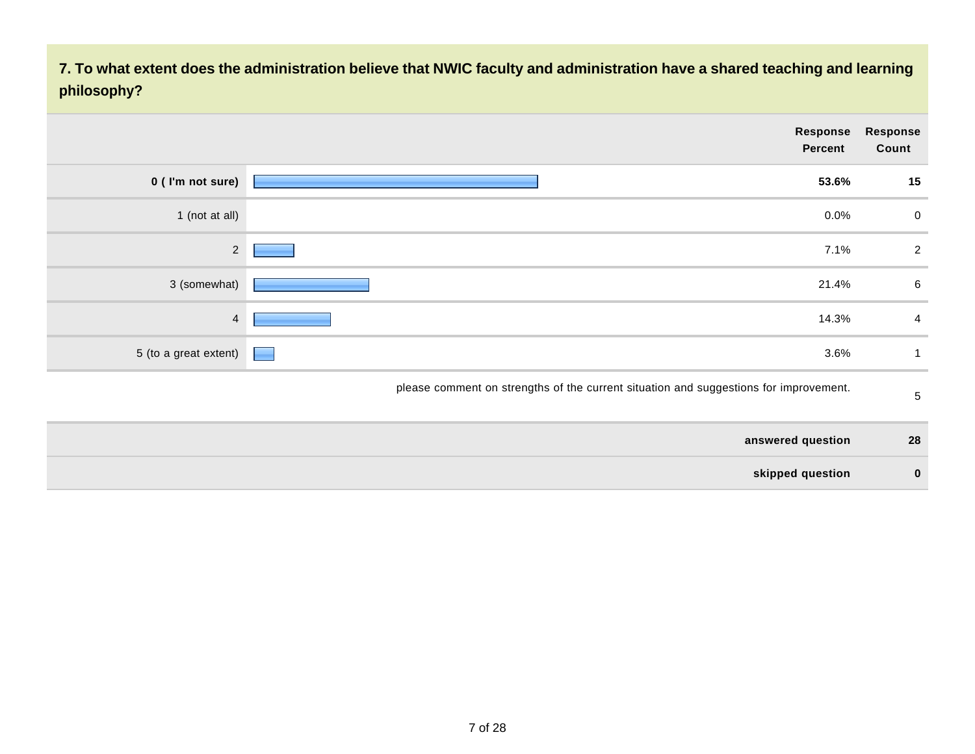**7. To what extent does the administration believe that NWIC faculty and administration have a shared teaching and learning philosophy?**

| Response<br>Count | Response<br><b>Percent</b>                                                            |   |                       |
|-------------------|---------------------------------------------------------------------------------------|---|-----------------------|
| 15                | 53.6%                                                                                 |   | 0 (I'm not sure)      |
| $\mathbf 0$       | 0.0%                                                                                  |   | 1 (not at all)        |
| $\overline{2}$    | 7.1%                                                                                  |   | $\overline{2}$        |
| $\,6\,$           | 21.4%                                                                                 |   | 3 (somewhat)          |
| 4                 | 14.3%                                                                                 |   | $\overline{4}$        |
|                   | 3.6%                                                                                  | ٠ | 5 (to a great extent) |
| $\sqrt{5}$        | please comment on strengths of the current situation and suggestions for improvement. |   |                       |
| 28                | answered question                                                                     |   |                       |

| skipped question |  |
|------------------|--|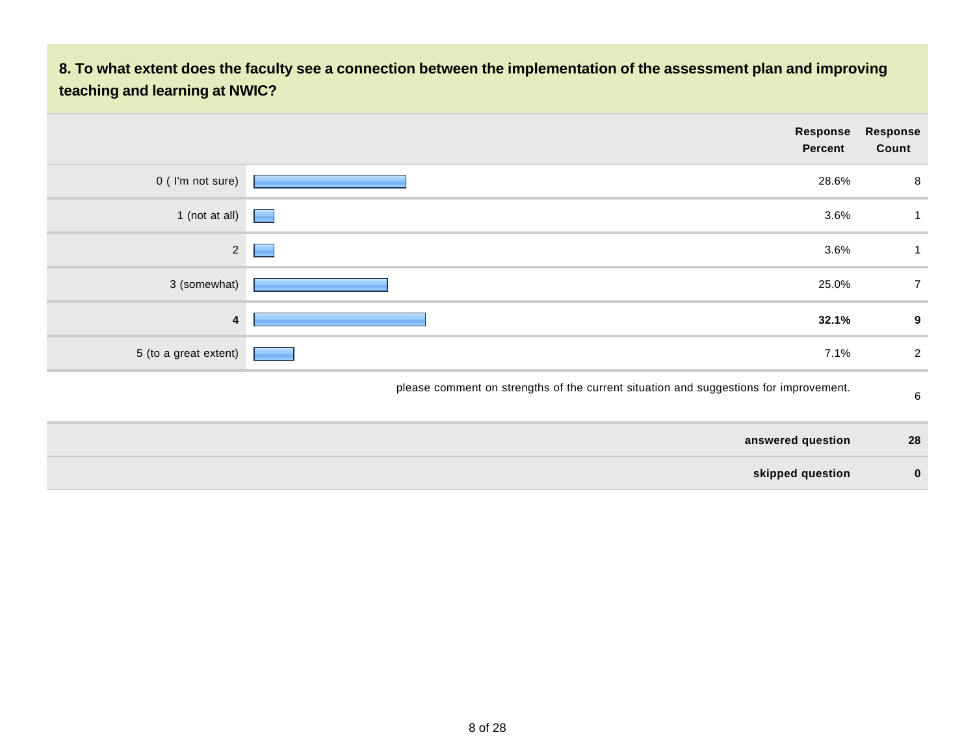### **8. To what extent does the faculty see a connection between the implementation of the assessment plan and improving teaching and learning at NWIC?**

|                       |   | Response<br>Percent                                                                   | Response<br>Count |
|-----------------------|---|---------------------------------------------------------------------------------------|-------------------|
| 0 (I'm not sure)      |   | 28.6%                                                                                 | 8                 |
| 1 (not at all)        |   | 3.6%                                                                                  |                   |
| $\overline{2}$        | ٠ | 3.6%                                                                                  |                   |
| 3 (somewhat)          |   | 25.0%                                                                                 | $\overline{7}$    |
| 4                     |   | 32.1%                                                                                 | 9                 |
| 5 (to a great extent) |   | 7.1%                                                                                  | $\overline{2}$    |
|                       |   | please comment on strengths of the current situation and suggestions for improvement. | $\,6\,$           |

| answered question | 28       |
|-------------------|----------|
| skipped question  | $\bf{0}$ |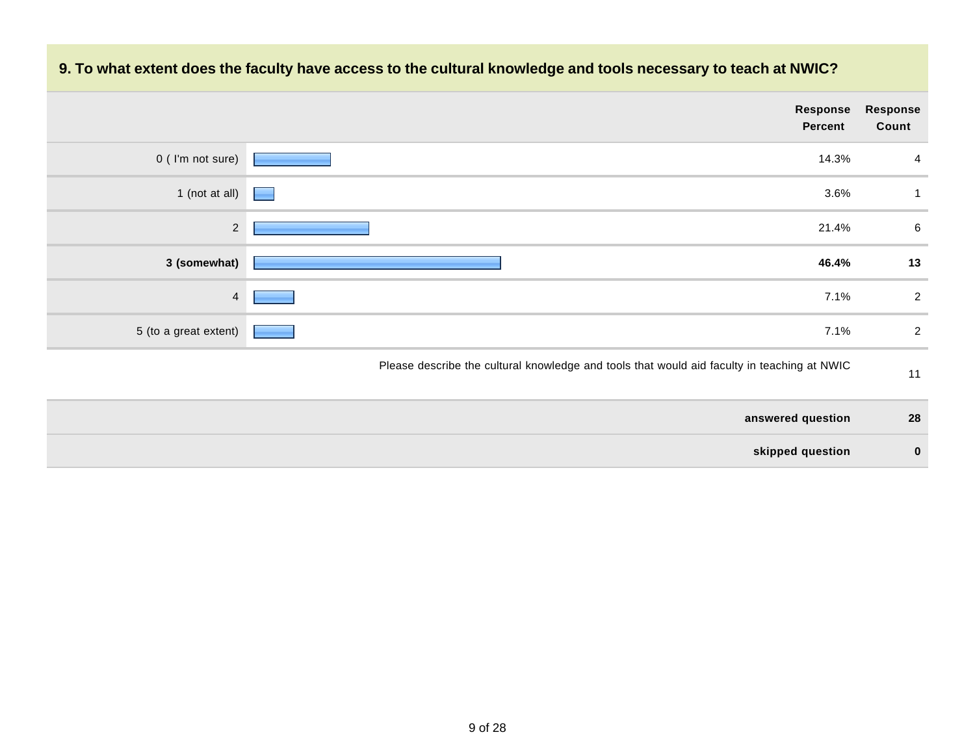# **Response Percent Response Count**  $0$  ( I'm not sure)  $\sqrt{14.3\%}$  4 1 (not at all)  $\sqrt{3.6\%}$  1 2 21.4% 6 **3 (somewhat) 46.4% 13**  $\frac{4}{7.1\%}$  7.1% 2 5 (to a great extent) **2** and the set of the set of the set of the set of the set of the set of the set of the set of the set of the set of the set of the set of the set of the set of the set of the set of the set of the s Please describe the cultural knowledge and tools that would aid faculty in teaching at NWIC 11

#### **9. To what extent does the faculty have access to the cultural knowledge and tools necessary to teach at NWIC?**

| answered question | 28 |
|-------------------|----|
| skipped question  |    |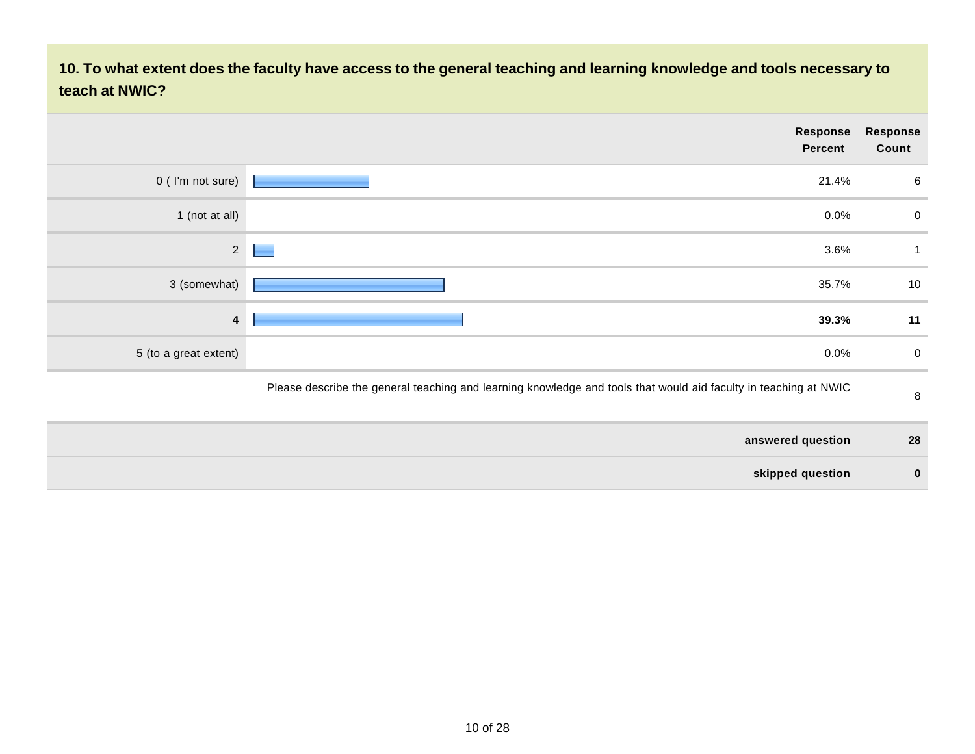**10. To what extent does the faculty have access to the general teaching and learning knowledge and tools necessary to teach at NWIC?**

|                       | Response<br><b>Percent</b>                                                                                       | <b>Response</b><br>Count |
|-----------------------|------------------------------------------------------------------------------------------------------------------|--------------------------|
| 0 (I'm not sure)      | 21.4%                                                                                                            | 6                        |
| 1 (not at all)        | $0.0\%$                                                                                                          | $\overline{0}$           |
| $\overline{2}$        | 3.6%                                                                                                             |                          |
| 3 (somewhat)          | 35.7%                                                                                                            | 10                       |
| 4                     | 39.3%                                                                                                            | 11                       |
| 5 (to a great extent) | $0.0\%$                                                                                                          | $\overline{0}$           |
|                       | Please describe the general teaching and learning knowledge and tools that would aid faculty in teaching at NWIC | 8                        |

| answered question | 28       |
|-------------------|----------|
| skipped question  | $\bf{0}$ |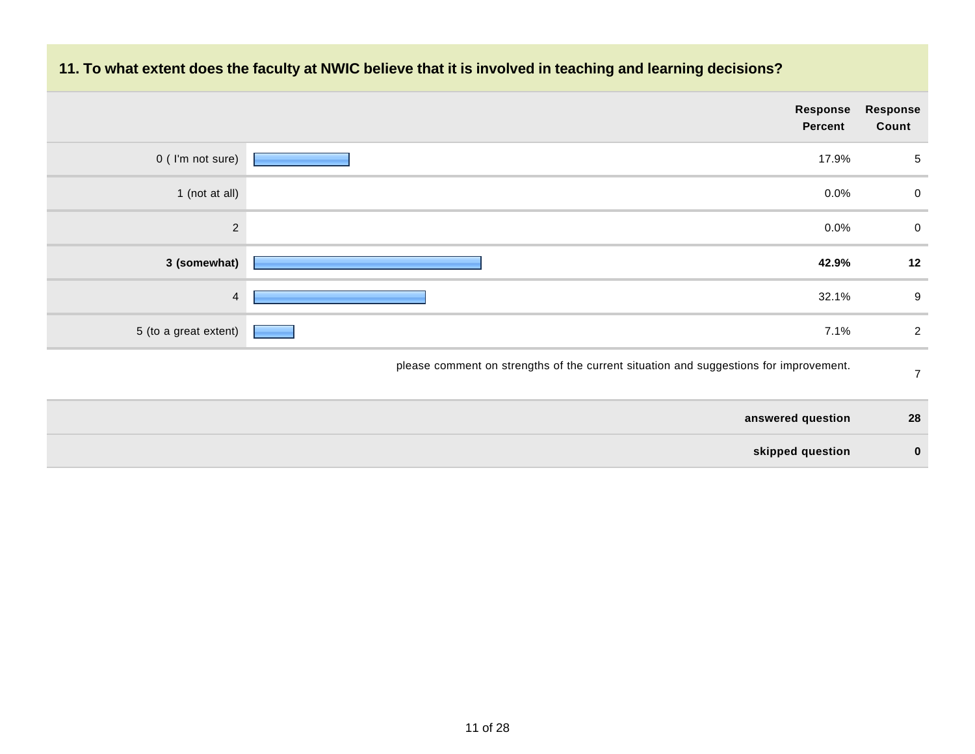

### **11. To what extent does the faculty at NWIC believe that it is involved in teaching and learning decisions?**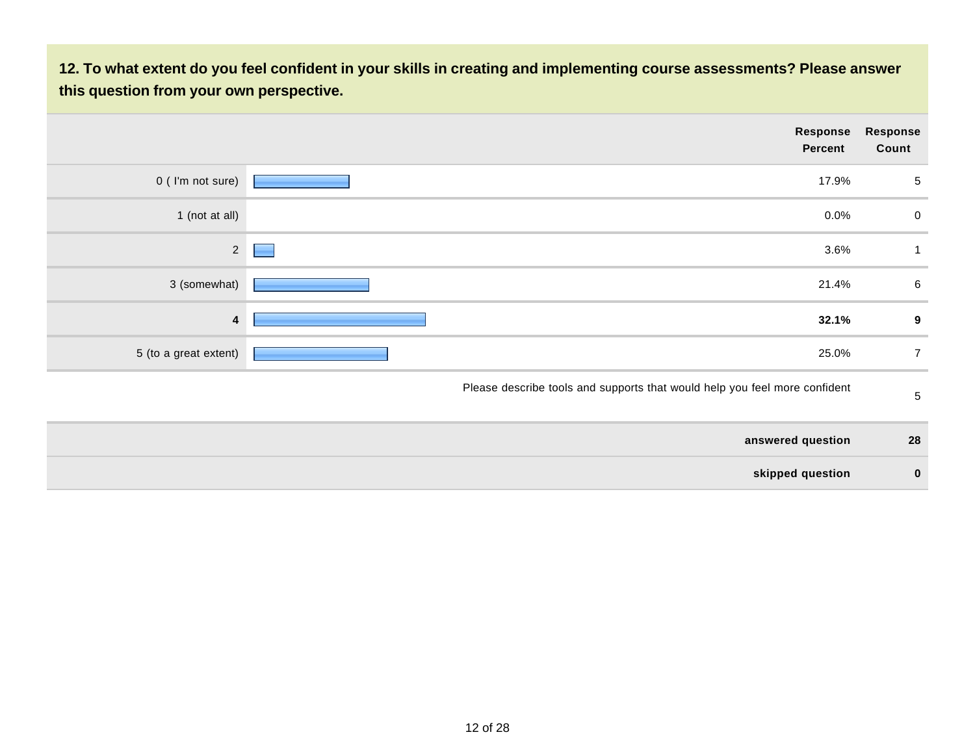**12. To what extent do you feel confident in your skills in creating and implementing course assessments? Please answer this question from your own perspective.**

|                       |   | Response<br><b>Percent</b>                                                 | Response<br>Count |
|-----------------------|---|----------------------------------------------------------------------------|-------------------|
| 0 (I'm not sure)      |   | 17.9%                                                                      | 5                 |
| 1 (not at all)        |   | 0.0%                                                                       | $\overline{0}$    |
| $\overline{2}$        | E | 3.6%                                                                       | 1                 |
| 3 (somewhat)          |   | 21.4%                                                                      | $6\phantom{.}6$   |
| 4                     |   | 32.1%                                                                      | 9                 |
| 5 (to a great extent) |   | 25.0%                                                                      | $\overline{7}$    |
|                       |   | Please describe tools and supports that would help you feel more confident | 5                 |
|                       |   | answered question                                                          | 28                |

**skipped question 0**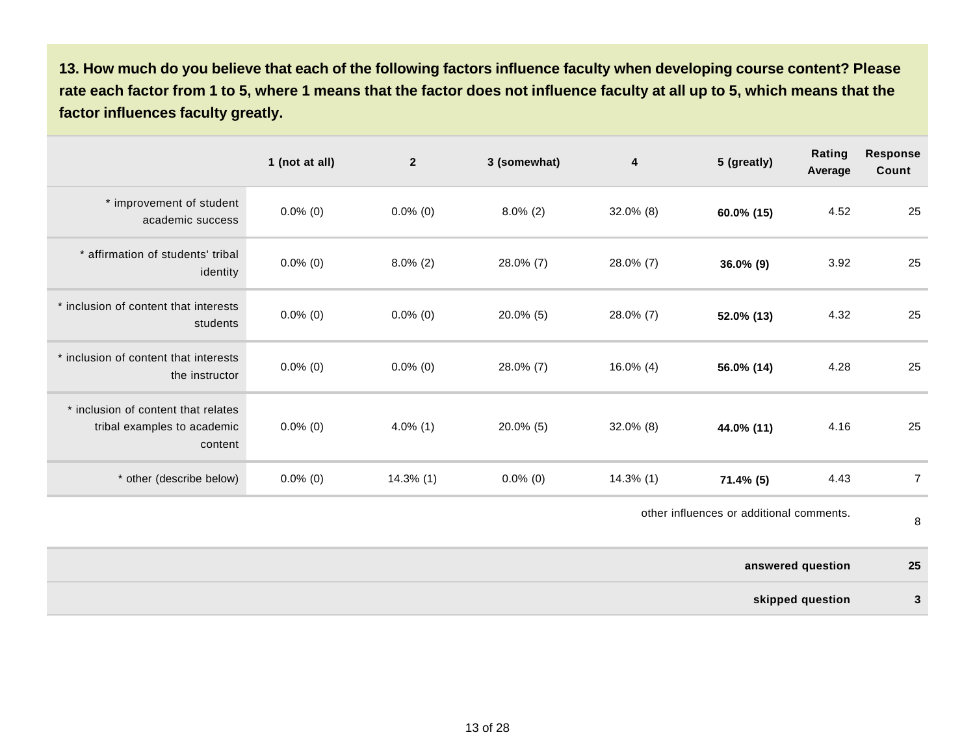**13. How much do you believe that each of the following factors influence faculty when developing course content? Please rate each factor from 1 to 5, where 1 means that the factor does not influence faculty at all up to 5, which means that the factor influences faculty greatly.** 

|                                                                               | 1 (not at all) | $\overline{2}$ | 3 (somewhat) | 4            | 5 (greatly)                              | Rating<br>Average | <b>Response</b><br>Count |
|-------------------------------------------------------------------------------|----------------|----------------|--------------|--------------|------------------------------------------|-------------------|--------------------------|
| * improvement of student<br>academic success                                  | $0.0\%$ (0)    | $0.0\%$ (0)    | $8.0\%$ (2)  | $32.0\%$ (8) | 60.0% (15)                               | 4.52              | 25                       |
| * affirmation of students' tribal<br>identity                                 | $0.0\%$ (0)    | $8.0\%$ (2)    | 28.0% (7)    | 28.0% (7)    | $36.0\%$ (9)                             | 3.92              | 25                       |
| * inclusion of content that interests<br>students                             | $0.0\%$ (0)    | $0.0\%$ (0)    | $20.0\%$ (5) | 28.0% (7)    | 52.0% (13)                               | 4.32              | 25                       |
| * inclusion of content that interests<br>the instructor                       | $0.0\%$ (0)    | $0.0\%$ (0)    | 28.0% (7)    | $16.0\%$ (4) | 56.0% (14)                               | 4.28              | 25                       |
| * inclusion of content that relates<br>tribal examples to academic<br>content | $0.0\%$ (0)    | $4.0\%$ (1)    | $20.0\%$ (5) | $32.0\%$ (8) | 44.0% (11)                               | 4.16              | 25                       |
| * other (describe below)                                                      | $0.0\%$ (0)    | $14.3\%$ (1)   | $0.0\%$ (0)  | $14.3\%$ (1) | $71.4\%$ (5)                             | 4.43              | $\overline{7}$           |
|                                                                               |                |                |              |              | other influences or additional comments. |                   | 8                        |

**answered question 25**

**skipped question 3**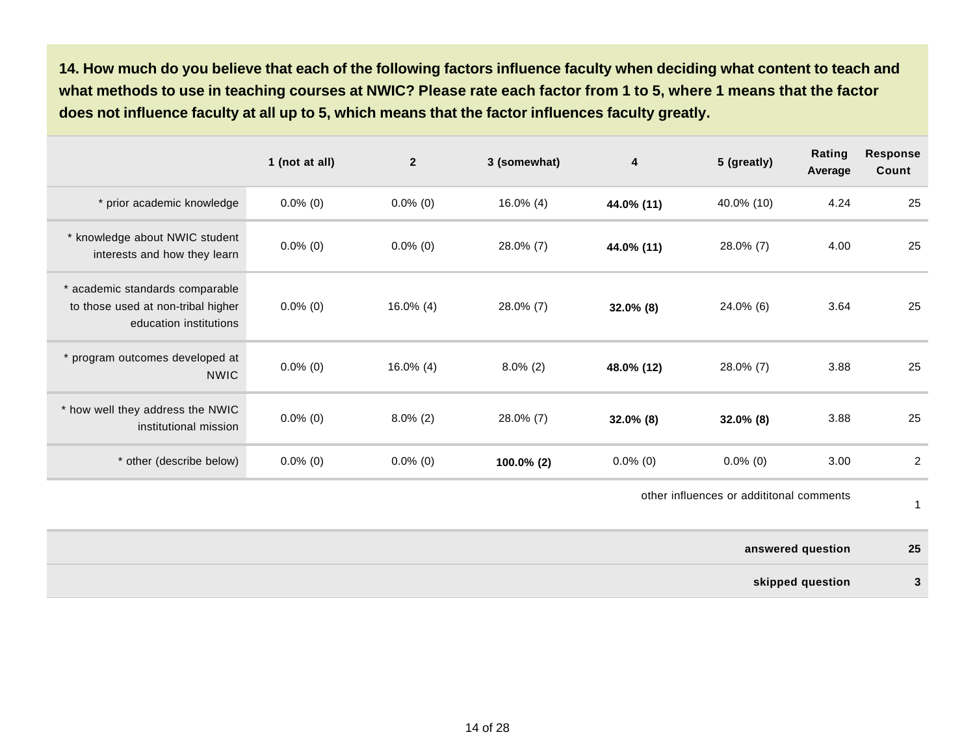**14. How much do you believe that each of the following factors influence faculty when deciding what content to teach and what methods to use in teaching courses at NWIC? Please rate each factor from 1 to 5, where 1 means that the factor does not influence faculty at all up to 5, which means that the factor influences faculty greatly.** 

|                                                                                                 | 1 (not at all) | $\overline{2}$ | 3 (somewhat) | 4            | 5 (greatly)  | Rating<br>Average | <b>Response</b><br>Count |
|-------------------------------------------------------------------------------------------------|----------------|----------------|--------------|--------------|--------------|-------------------|--------------------------|
| * prior academic knowledge                                                                      | $0.0\%$ (0)    | $0.0\%$ (0)    | $16.0\%$ (4) | 44.0% (11)   | 40.0% (10)   | 4.24              | 25                       |
| * knowledge about NWIC student<br>interests and how they learn                                  | $0.0\%$ (0)    | $0.0\%$ (0)    | 28.0% (7)    | 44.0% (11)   | 28.0% (7)    | 4.00              | 25                       |
| * academic standards comparable<br>to those used at non-tribal higher<br>education institutions | $0.0\%$ (0)    | $16.0\%$ (4)   | 28.0% (7)    | $32.0\%$ (8) | 24.0% (6)    | 3.64              | 25                       |
| * program outcomes developed at<br><b>NWIC</b>                                                  | $0.0\%$ (0)    | $16.0\%$ (4)   | $8.0\%$ (2)  | 48.0% (12)   | 28.0% (7)    | 3.88              | 25                       |
| * how well they address the NWIC<br>institutional mission                                       | $0.0\%$ (0)    | $8.0\%$ (2)    | 28.0% (7)    | $32.0\%$ (8) | $32.0\%$ (8) | 3.88              | 25                       |
| * other (describe below)                                                                        | $0.0\%$ (0)    | $0.0\%$ (0)    | 100.0% (2)   | $0.0\%$ (0)  | $0.0\%$ (0)  | 3.00              | $\overline{2}$           |

other influences or addititonal comments

1

| 25           | answered question |
|--------------|-------------------|
| $\mathbf{r}$ | skipped question  |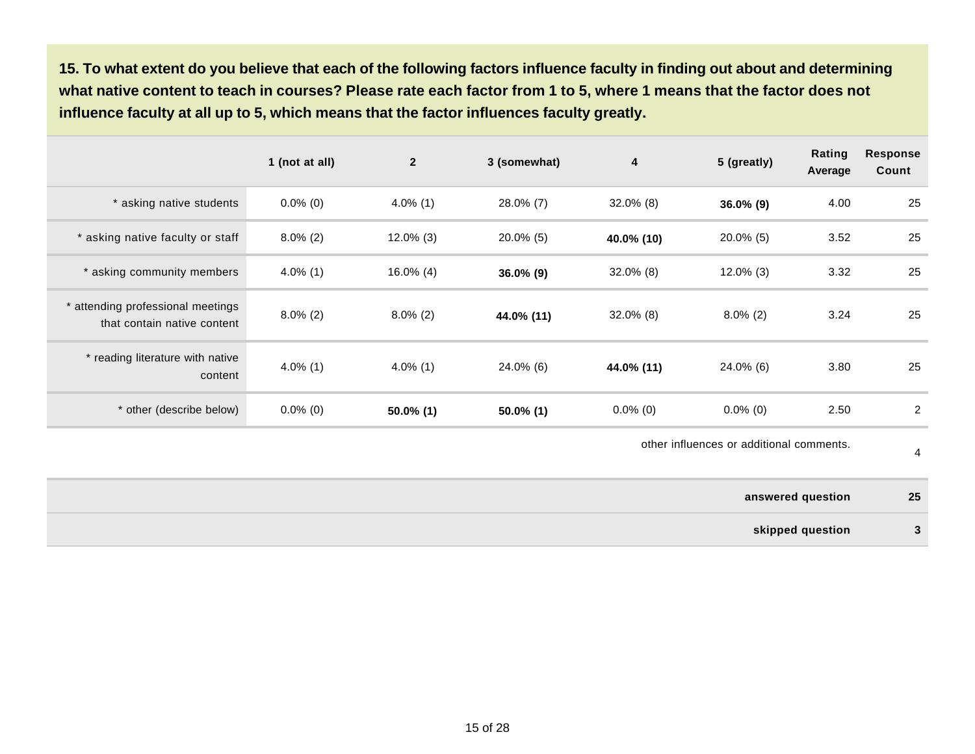**15. To what extent do you believe that each of the following factors influence faculty in finding out about and determining what native content to teach in courses? Please rate each factor from 1 to 5, where 1 means that the factor does not influence faculty at all up to 5, which means that the factor influences faculty greatly.** 

|                                                                  | 1 (not at all) | $\mathbf{2}$ | 3 (somewhat) | 4            | 5 (greatly)  | Rating<br>Average | <b>Response</b><br>Count |
|------------------------------------------------------------------|----------------|--------------|--------------|--------------|--------------|-------------------|--------------------------|
| * asking native students                                         | $0.0\%$ (0)    | $4.0\%$ (1)  | 28.0% (7)    | $32.0\%$ (8) | $36.0\%$ (9) | 4.00              | 25                       |
| * asking native faculty or staff                                 | $8.0\%$ (2)    | $12.0\%$ (3) | $20.0\%$ (5) | 40.0% (10)   | $20.0\%$ (5) | 3.52              | 25                       |
| * asking community members                                       | $4.0\%$ (1)    | $16.0\%$ (4) | $36.0\%$ (9) | $32.0\%$ (8) | $12.0\%$ (3) | 3.32              | 25                       |
| * attending professional meetings<br>that contain native content | $8.0\%$ (2)    | $8.0\%$ (2)  | 44.0% (11)   | $32.0\%$ (8) | $8.0\%$ (2)  | 3.24              | 25                       |
| * reading literature with native<br>content                      | $4.0\%$ (1)    | $4.0\%$ (1)  | 24.0% (6)    | 44.0% (11)   | 24.0% (6)    | 3.80              | 25                       |
| * other (describe below)                                         | $0.0\%$ (0)    | $50.0\%$ (1) | $50.0\%$ (1) | $0.0\%$ (0)  | $0.0\%$ (0)  | 2.50              | 2                        |

other influences or additional comments.

4

**answered question 25 skipped question 3**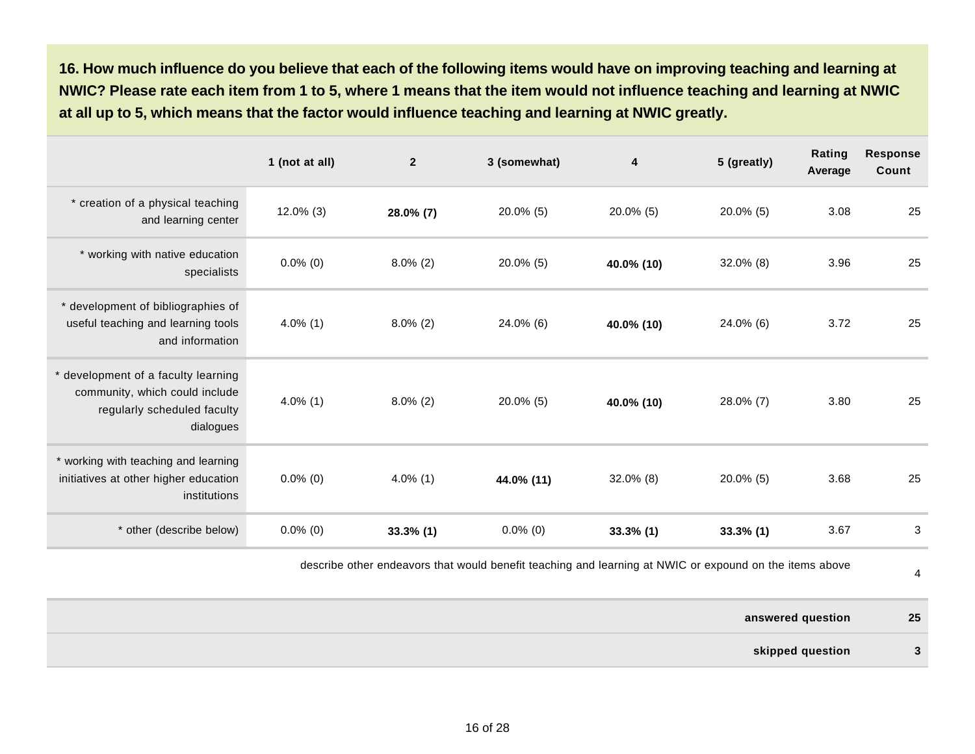**16. How much influence do you believe that each of the following items would have on improving teaching and learning at NWIC? Please rate each item from 1 to 5, where 1 means that the item would not influence teaching and learning at NWIC at all up to 5, which means that the factor would influence teaching and learning at NWIC greatly.** 

|                                                                                                                   | 1 (not at all) | $\overline{2}$ | 3 (somewhat) | 4            | 5 (greatly)  | Rating<br>Average | <b>Response</b><br>Count |
|-------------------------------------------------------------------------------------------------------------------|----------------|----------------|--------------|--------------|--------------|-------------------|--------------------------|
| * creation of a physical teaching<br>and learning center                                                          | $12.0\%$ (3)   | 28.0% (7)      | 20.0% (5)    | $20.0\%$ (5) | 20.0% (5)    | 3.08              | 25                       |
| * working with native education<br>specialists                                                                    | $0.0\%$ (0)    | $8.0\%$ (2)    | $20.0\%$ (5) | 40.0% (10)   | $32.0\%$ (8) | 3.96              | 25                       |
| * development of bibliographies of<br>useful teaching and learning tools<br>and information                       | $4.0\%$ (1)    | $8.0\%$ (2)    | 24.0% (6)    | 40.0% (10)   | 24.0% (6)    | 3.72              | 25                       |
| * development of a faculty learning<br>community, which could include<br>regularly scheduled faculty<br>dialogues | $4.0\%$ (1)    | $8.0\%$ (2)    | 20.0% (5)    | 40.0% (10)   | 28.0% (7)    | 3.80              | 25                       |
| * working with teaching and learning<br>initiatives at other higher education<br>institutions                     | $0.0\%$ (0)    | $4.0\%$ (1)    | 44.0% (11)   | $32.0\%$ (8) | 20.0% (5)    | 3.68              | 25                       |
| * other (describe below)                                                                                          | $0.0\%$ (0)    | $33.3\%$ (1)   | $0.0\%$ (0)  | $33.3\%$ (1) | $33.3\%$ (1) | 3.67              | 3                        |

describe other endeavors that would benefit teaching and learning at NWIC or expound on the items above

4

**answered question 25 skipped question 3**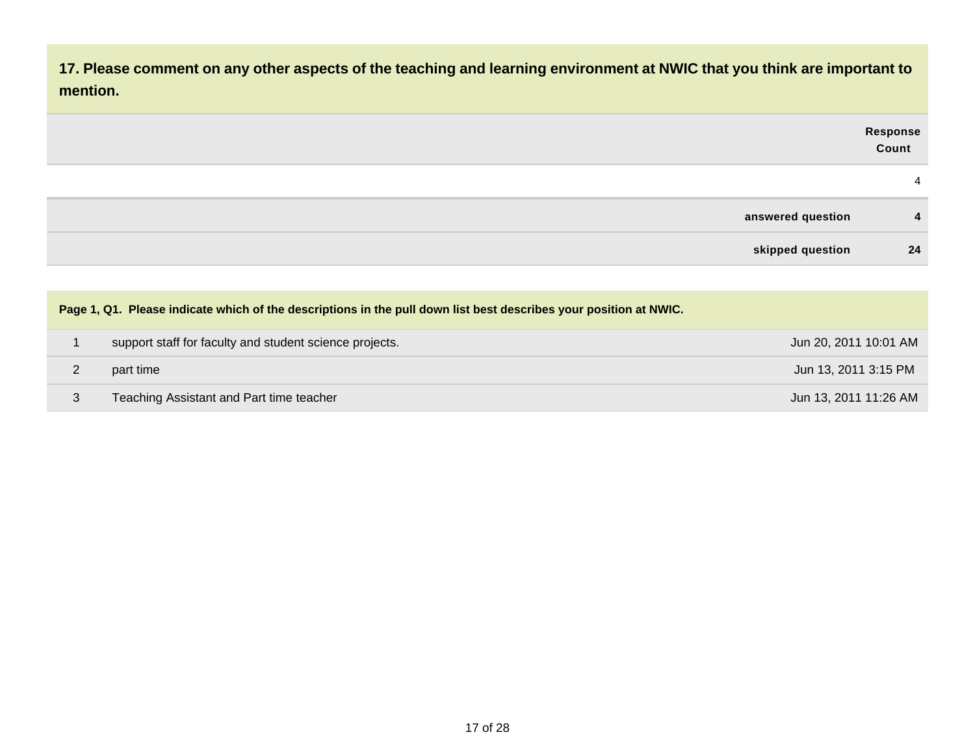| 17. Please comment on any other aspects of the teaching and learning environment at NWIC that you think are important to<br>mention. |                   |
|--------------------------------------------------------------------------------------------------------------------------------------|-------------------|
|                                                                                                                                      | Response<br>Count |
|                                                                                                                                      | 4                 |
| answered question                                                                                                                    | 4                 |
| skipped question                                                                                                                     | 24                |

| Page 1, Q1. Please indicate which of the descriptions in the pull down list best describes your position at NWIC. |                       |
|-------------------------------------------------------------------------------------------------------------------|-----------------------|
| support staff for faculty and student science projects.                                                           | Jun 20, 2011 10:01 AM |
| part time                                                                                                         | Jun 13, 2011 3:15 PM  |
| Teaching Assistant and Part time teacher                                                                          | Jun 13, 2011 11:26 AM |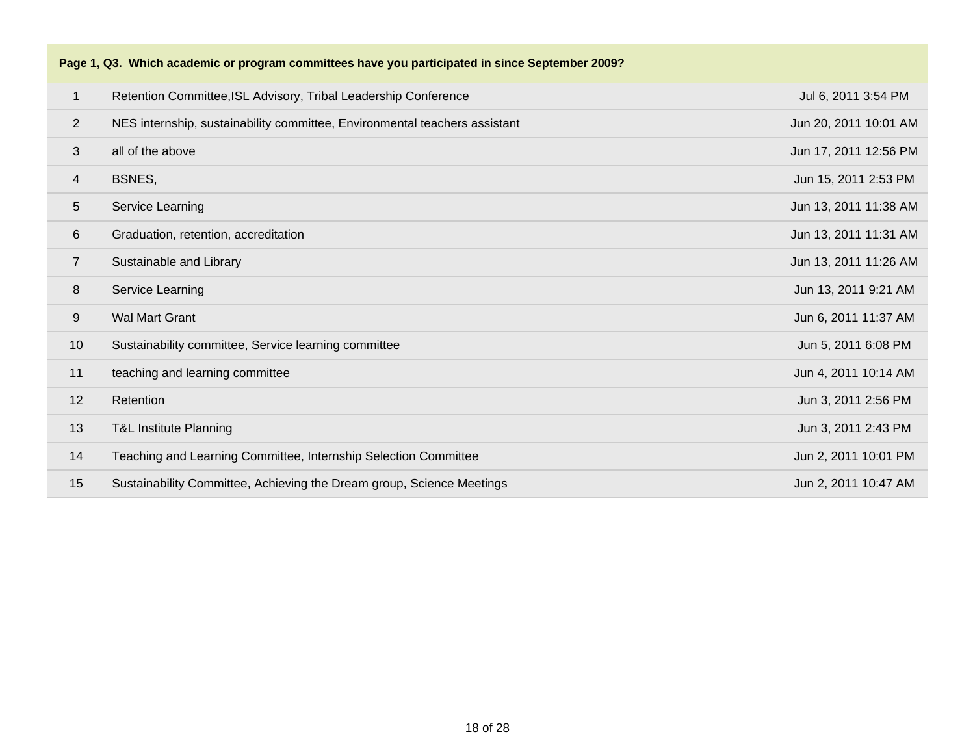|                 | Page 1, Q3. Which academic or program committees have you participated in since September 2009? |                       |
|-----------------|-------------------------------------------------------------------------------------------------|-----------------------|
| $\mathbf{1}$    | Retention Committee, ISL Advisory, Tribal Leadership Conference                                 | Jul 6, 2011 3:54 PM   |
| $\overline{2}$  | NES internship, sustainability committee, Environmental teachers assistant                      | Jun 20, 2011 10:01 AM |
| 3               | all of the above                                                                                | Jun 17, 2011 12:56 PM |
| 4               | BSNES,                                                                                          | Jun 15, 2011 2:53 PM  |
| $5\overline{)}$ | Service Learning                                                                                | Jun 13, 2011 11:38 AM |
| 6               | Graduation, retention, accreditation                                                            | Jun 13, 2011 11:31 AM |
| $\overline{7}$  | Sustainable and Library                                                                         | Jun 13, 2011 11:26 AM |
| 8               | Service Learning                                                                                | Jun 13, 2011 9:21 AM  |
| 9               | <b>Wal Mart Grant</b>                                                                           | Jun 6, 2011 11:37 AM  |
| 10              | Sustainability committee, Service learning committee                                            | Jun 5, 2011 6:08 PM   |
| 11              | teaching and learning committee                                                                 | Jun 4, 2011 10:14 AM  |
| 12              | Retention                                                                                       | Jun 3, 2011 2:56 PM   |
| 13              | <b>T&amp;L Institute Planning</b>                                                               | Jun 3, 2011 2:43 PM   |
| 14              | Teaching and Learning Committee, Internship Selection Committee                                 | Jun 2, 2011 10:01 PM  |
| 15              | Sustainability Committee, Achieving the Dream group, Science Meetings                           | Jun 2, 2011 10:47 AM  |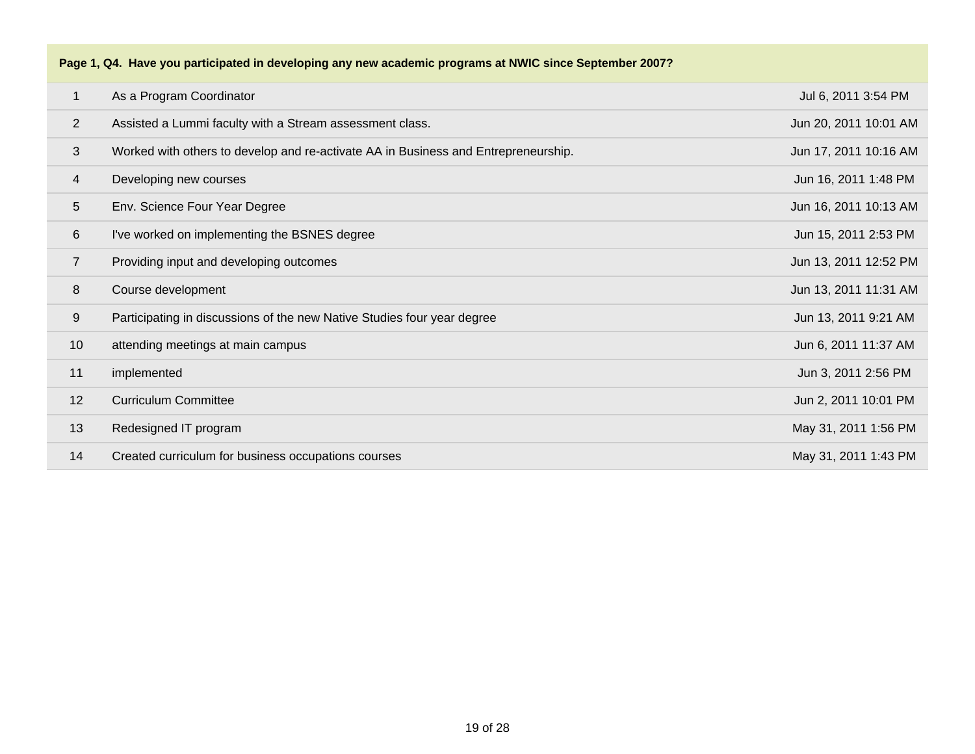|                | Page 1, Q4. Have you participated in developing any new academic programs at NWIC since September 2007? |                       |
|----------------|---------------------------------------------------------------------------------------------------------|-----------------------|
| $\mathbf{1}$   | As a Program Coordinator                                                                                | Jul 6, 2011 3:54 PM   |
| $\overline{2}$ | Assisted a Lummi faculty with a Stream assessment class.                                                | Jun 20, 2011 10:01 AM |
| 3              | Worked with others to develop and re-activate AA in Business and Entrepreneurship.                      | Jun 17, 2011 10:16 AM |
| 4              | Developing new courses                                                                                  | Jun 16, 2011 1:48 PM  |
| 5              | Env. Science Four Year Degree                                                                           | Jun 16, 2011 10:13 AM |
| 6              | I've worked on implementing the BSNES degree                                                            | Jun 15, 2011 2:53 PM  |
| $\overline{7}$ | Providing input and developing outcomes                                                                 | Jun 13, 2011 12:52 PM |
| 8              | Course development                                                                                      | Jun 13, 2011 11:31 AM |
| 9              | Participating in discussions of the new Native Studies four year degree                                 | Jun 13, 2011 9:21 AM  |
| 10             | attending meetings at main campus                                                                       | Jun 6, 2011 11:37 AM  |
| 11             | implemented                                                                                             | Jun 3, 2011 2:56 PM   |
| 12             | <b>Curriculum Committee</b>                                                                             | Jun 2, 2011 10:01 PM  |
| 13             | Redesigned IT program                                                                                   | May 31, 2011 1:56 PM  |
| 14             | Created curriculum for business occupations courses                                                     | May 31, 2011 1:43 PM  |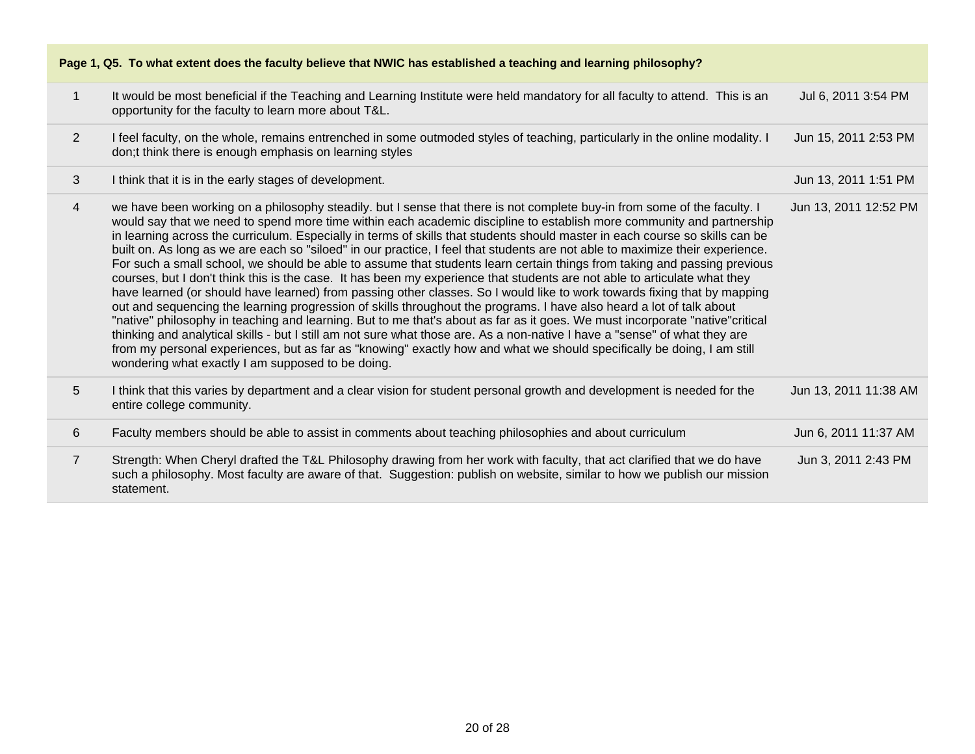| Page 1, Q5. To what extent does the faculty believe that NWIC has established a teaching and learning philosophy? |                                                                                                                                                                                                                                                                                                                                                                                                                                                                                                                                                                                                                                                                                                                                                                                                                                                                                                                                                                                                                                                                                                                                                                                                                                                                                                                                                                                                                                                                              |                       |
|-------------------------------------------------------------------------------------------------------------------|------------------------------------------------------------------------------------------------------------------------------------------------------------------------------------------------------------------------------------------------------------------------------------------------------------------------------------------------------------------------------------------------------------------------------------------------------------------------------------------------------------------------------------------------------------------------------------------------------------------------------------------------------------------------------------------------------------------------------------------------------------------------------------------------------------------------------------------------------------------------------------------------------------------------------------------------------------------------------------------------------------------------------------------------------------------------------------------------------------------------------------------------------------------------------------------------------------------------------------------------------------------------------------------------------------------------------------------------------------------------------------------------------------------------------------------------------------------------------|-----------------------|
| $\mathbf{1}$                                                                                                      | It would be most beneficial if the Teaching and Learning Institute were held mandatory for all faculty to attend. This is an<br>opportunity for the faculty to learn more about T&L.                                                                                                                                                                                                                                                                                                                                                                                                                                                                                                                                                                                                                                                                                                                                                                                                                                                                                                                                                                                                                                                                                                                                                                                                                                                                                         | Jul 6, 2011 3:54 PM   |
| $\overline{2}$                                                                                                    | I feel faculty, on the whole, remains entrenched in some outmoded styles of teaching, particularly in the online modality. I<br>don;t think there is enough emphasis on learning styles                                                                                                                                                                                                                                                                                                                                                                                                                                                                                                                                                                                                                                                                                                                                                                                                                                                                                                                                                                                                                                                                                                                                                                                                                                                                                      | Jun 15, 2011 2:53 PM  |
| 3                                                                                                                 | I think that it is in the early stages of development.                                                                                                                                                                                                                                                                                                                                                                                                                                                                                                                                                                                                                                                                                                                                                                                                                                                                                                                                                                                                                                                                                                                                                                                                                                                                                                                                                                                                                       | Jun 13, 2011 1:51 PM  |
| $\overline{4}$                                                                                                    | we have been working on a philosophy steadily. but I sense that there is not complete buy-in from some of the faculty. I<br>would say that we need to spend more time within each academic discipline to establish more community and partnership<br>in learning across the curriculum. Especially in terms of skills that students should master in each course so skills can be<br>built on. As long as we are each so "siloed" in our practice, I feel that students are not able to maximize their experience.<br>For such a small school, we should be able to assume that students learn certain things from taking and passing previous<br>courses, but I don't think this is the case. It has been my experience that students are not able to articulate what they<br>have learned (or should have learned) from passing other classes. So I would like to work towards fixing that by mapping<br>out and sequencing the learning progression of skills throughout the programs. I have also heard a lot of talk about<br>"native" philosophy in teaching and learning. But to me that's about as far as it goes. We must incorporate "native"critical<br>thinking and analytical skills - but I still am not sure what those are. As a non-native I have a "sense" of what they are<br>from my personal experiences, but as far as "knowing" exactly how and what we should specifically be doing, I am still<br>wondering what exactly I am supposed to be doing. | Jun 13, 2011 12:52 PM |
| 5                                                                                                                 | I think that this varies by department and a clear vision for student personal growth and development is needed for the<br>entire college community.                                                                                                                                                                                                                                                                                                                                                                                                                                                                                                                                                                                                                                                                                                                                                                                                                                                                                                                                                                                                                                                                                                                                                                                                                                                                                                                         | Jun 13, 2011 11:38 AM |
| 6                                                                                                                 | Faculty members should be able to assist in comments about teaching philosophies and about curriculum                                                                                                                                                                                                                                                                                                                                                                                                                                                                                                                                                                                                                                                                                                                                                                                                                                                                                                                                                                                                                                                                                                                                                                                                                                                                                                                                                                        | Jun 6, 2011 11:37 AM  |
| $\overline{7}$                                                                                                    | Strength: When Cheryl drafted the T&L Philosophy drawing from her work with faculty, that act clarified that we do have<br>such a philosophy. Most faculty are aware of that. Suggestion: publish on website, similar to how we publish our mission<br>statement.                                                                                                                                                                                                                                                                                                                                                                                                                                                                                                                                                                                                                                                                                                                                                                                                                                                                                                                                                                                                                                                                                                                                                                                                            | Jun 3, 2011 2:43 PM   |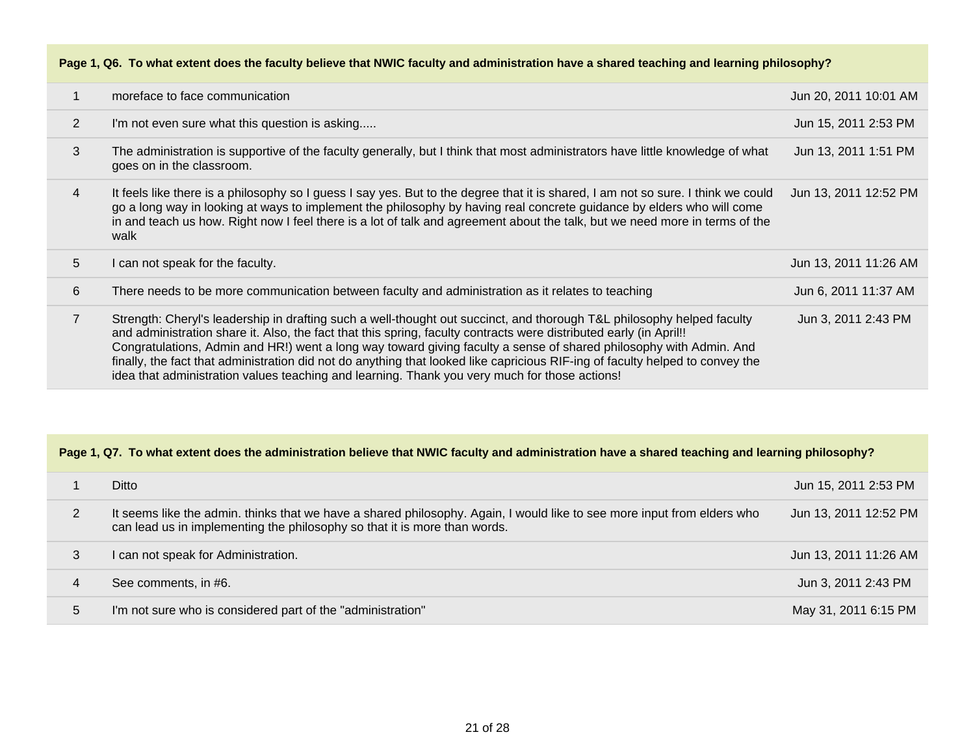| Page 1, Q6. To what extent does the faculty believe that NWIC faculty and administration have a shared teaching and learning philosophy? |                                                                                                                                                                                                                                                                                                                                                                                                                                                                                                                                                                                                      |                       |
|------------------------------------------------------------------------------------------------------------------------------------------|------------------------------------------------------------------------------------------------------------------------------------------------------------------------------------------------------------------------------------------------------------------------------------------------------------------------------------------------------------------------------------------------------------------------------------------------------------------------------------------------------------------------------------------------------------------------------------------------------|-----------------------|
| $\mathbf{1}$                                                                                                                             | moreface to face communication                                                                                                                                                                                                                                                                                                                                                                                                                                                                                                                                                                       | Jun 20, 2011 10:01 AM |
| $\overline{2}$                                                                                                                           | I'm not even sure what this question is asking                                                                                                                                                                                                                                                                                                                                                                                                                                                                                                                                                       | Jun 15, 2011 2:53 PM  |
| 3                                                                                                                                        | The administration is supportive of the faculty generally, but I think that most administrators have little knowledge of what<br>goes on in the classroom.                                                                                                                                                                                                                                                                                                                                                                                                                                           | Jun 13, 2011 1:51 PM  |
| $\overline{4}$                                                                                                                           | It feels like there is a philosophy so I guess I say yes. But to the degree that it is shared, I am not so sure. I think we could<br>go a long way in looking at ways to implement the philosophy by having real concrete guidance by elders who will come<br>in and teach us how. Right now I feel there is a lot of talk and agreement about the talk, but we need more in terms of the<br>walk                                                                                                                                                                                                    | Jun 13, 2011 12:52 PM |
| 5                                                                                                                                        | I can not speak for the faculty.                                                                                                                                                                                                                                                                                                                                                                                                                                                                                                                                                                     | Jun 13, 2011 11:26 AM |
| 6                                                                                                                                        | There needs to be more communication between faculty and administration as it relates to teaching                                                                                                                                                                                                                                                                                                                                                                                                                                                                                                    | Jun 6, 2011 11:37 AM  |
| $\overline{7}$                                                                                                                           | Strength: Cheryl's leadership in drafting such a well-thought out succinct, and thorough T&L philosophy helped faculty<br>and administration share it. Also, the fact that this spring, faculty contracts were distributed early (in April!!<br>Congratulations, Admin and HR!) went a long way toward giving faculty a sense of shared philosophy with Admin. And<br>finally, the fact that administration did not do anything that looked like capricious RIF-ing of faculty helped to convey the<br>idea that administration values teaching and learning. Thank you very much for those actions! | Jun 3, 2011 2:43 PM   |

### **Page 1, Q7. To what extent does the administration believe that NWIC faculty and administration have a shared teaching and learning philosophy?**

|   | Ditto                                                                                                                                                                                                | Jun 15, 2011 2:53 PM  |
|---|------------------------------------------------------------------------------------------------------------------------------------------------------------------------------------------------------|-----------------------|
|   | It seems like the admin. thinks that we have a shared philosophy. Again, I would like to see more input from elders who<br>can lead us in implementing the philosophy so that it is more than words. | Jun 13, 2011 12:52 PM |
| 3 | I can not speak for Administration.                                                                                                                                                                  | Jun 13, 2011 11:26 AM |
| 4 | See comments, in #6.                                                                                                                                                                                 | Jun 3, 2011 2:43 PM   |
| 5 | I'm not sure who is considered part of the "administration"                                                                                                                                          | May 31, 2011 6:15 PM  |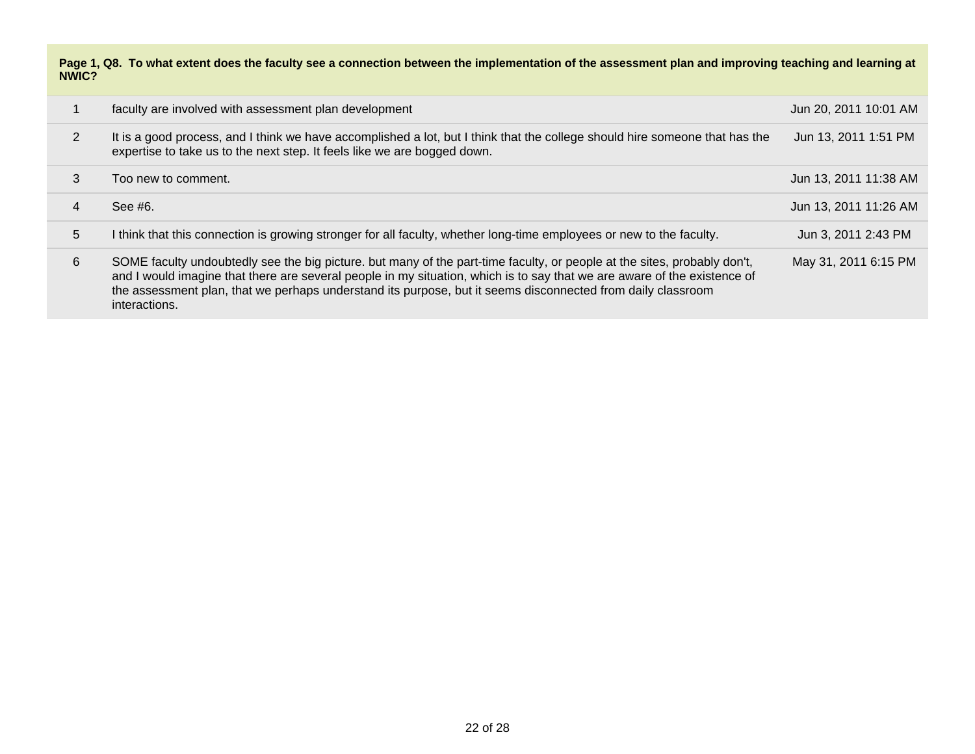**Page 1, Q8. To what extent does the faculty see a connection between the implementation of the assessment plan and improving teaching and learning at NWIC?**

|                | faculty are involved with assessment plan development                                                                                                                                                                                                                                                                                                                                | Jun 20, 2011 10:01 AM |
|----------------|--------------------------------------------------------------------------------------------------------------------------------------------------------------------------------------------------------------------------------------------------------------------------------------------------------------------------------------------------------------------------------------|-----------------------|
| $\overline{2}$ | It is a good process, and I think we have accomplished a lot, but I think that the college should hire someone that has the<br>expertise to take us to the next step. It feels like we are bogged down.                                                                                                                                                                              | Jun 13, 2011 1:51 PM  |
| 3              | Too new to comment.                                                                                                                                                                                                                                                                                                                                                                  | Jun 13, 2011 11:38 AM |
| 4              | See #6.                                                                                                                                                                                                                                                                                                                                                                              | Jun 13, 2011 11:26 AM |
| 5              | I think that this connection is growing stronger for all faculty, whether long-time employees or new to the faculty.                                                                                                                                                                                                                                                                 | Jun 3, 2011 2:43 PM   |
| 6              | SOME faculty undoubtedly see the big picture. but many of the part-time faculty, or people at the sites, probably don't,<br>and I would imagine that there are several people in my situation, which is to say that we are aware of the existence of<br>the assessment plan, that we perhaps understand its purpose, but it seems disconnected from daily classroom<br>interactions. | May 31, 2011 6:15 PM  |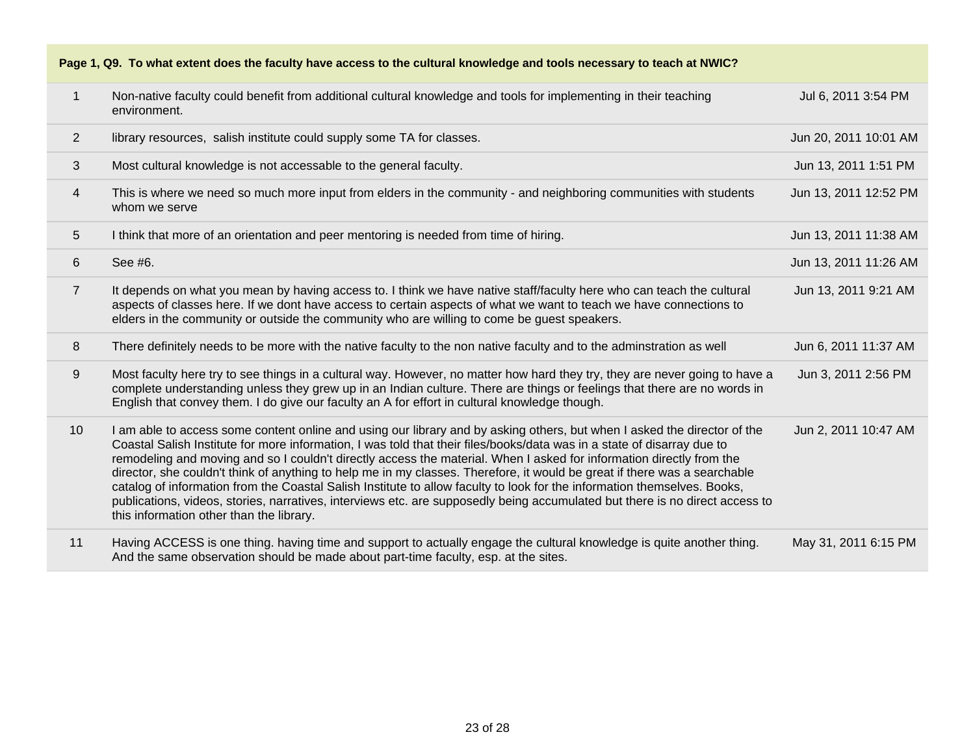| Page 1, Q9. To what extent does the faculty have access to the cultural knowledge and tools necessary to teach at NWIC? |                                                                                                                                                                                                                                                                                                                                                                                                                                                                                                                                                                                                                                                                                                                                                                                                                  |                       |
|-------------------------------------------------------------------------------------------------------------------------|------------------------------------------------------------------------------------------------------------------------------------------------------------------------------------------------------------------------------------------------------------------------------------------------------------------------------------------------------------------------------------------------------------------------------------------------------------------------------------------------------------------------------------------------------------------------------------------------------------------------------------------------------------------------------------------------------------------------------------------------------------------------------------------------------------------|-----------------------|
| 1                                                                                                                       | Non-native faculty could benefit from additional cultural knowledge and tools for implementing in their teaching<br>environment.                                                                                                                                                                                                                                                                                                                                                                                                                                                                                                                                                                                                                                                                                 | Jul 6, 2011 3:54 PM   |
| $\overline{2}$                                                                                                          | library resources, salish institute could supply some TA for classes.                                                                                                                                                                                                                                                                                                                                                                                                                                                                                                                                                                                                                                                                                                                                            | Jun 20, 2011 10:01 AM |
| 3                                                                                                                       | Most cultural knowledge is not accessable to the general faculty.                                                                                                                                                                                                                                                                                                                                                                                                                                                                                                                                                                                                                                                                                                                                                | Jun 13, 2011 1:51 PM  |
| $\overline{4}$                                                                                                          | This is where we need so much more input from elders in the community - and neighboring communities with students<br>whom we serve                                                                                                                                                                                                                                                                                                                                                                                                                                                                                                                                                                                                                                                                               | Jun 13, 2011 12:52 PM |
| 5                                                                                                                       | I think that more of an orientation and peer mentoring is needed from time of hiring.                                                                                                                                                                                                                                                                                                                                                                                                                                                                                                                                                                                                                                                                                                                            | Jun 13, 2011 11:38 AM |
| 6                                                                                                                       | See #6.                                                                                                                                                                                                                                                                                                                                                                                                                                                                                                                                                                                                                                                                                                                                                                                                          | Jun 13, 2011 11:26 AM |
| $\overline{7}$                                                                                                          | It depends on what you mean by having access to. I think we have native staff/faculty here who can teach the cultural<br>aspects of classes here. If we dont have access to certain aspects of what we want to teach we have connections to<br>elders in the community or outside the community who are willing to come be guest speakers.                                                                                                                                                                                                                                                                                                                                                                                                                                                                       | Jun 13, 2011 9:21 AM  |
| 8                                                                                                                       | There definitely needs to be more with the native faculty to the non native faculty and to the adminstration as well                                                                                                                                                                                                                                                                                                                                                                                                                                                                                                                                                                                                                                                                                             | Jun 6, 2011 11:37 AM  |
| 9                                                                                                                       | Most faculty here try to see things in a cultural way. However, no matter how hard they try, they are never going to have a<br>complete understanding unless they grew up in an Indian culture. There are things or feelings that there are no words in<br>English that convey them. I do give our faculty an A for effort in cultural knowledge though.                                                                                                                                                                                                                                                                                                                                                                                                                                                         | Jun 3, 2011 2:56 PM   |
| 10                                                                                                                      | I am able to access some content online and using our library and by asking others, but when I asked the director of the<br>Coastal Salish Institute for more information, I was told that their files/books/data was in a state of disarray due to<br>remodeling and moving and so I couldn't directly access the material. When I asked for information directly from the<br>director, she couldn't think of anything to help me in my classes. Therefore, it would be great if there was a searchable<br>catalog of information from the Coastal Salish Institute to allow faculty to look for the information themselves. Books,<br>publications, videos, stories, narratives, interviews etc. are supposedly being accumulated but there is no direct access to<br>this information other than the library. | Jun 2, 2011 10:47 AM  |
| 11                                                                                                                      | Having ACCESS is one thing. having time and support to actually engage the cultural knowledge is quite another thing.<br>And the same observation should be made about part-time faculty, esp. at the sites.                                                                                                                                                                                                                                                                                                                                                                                                                                                                                                                                                                                                     | May 31, 2011 6:15 PM  |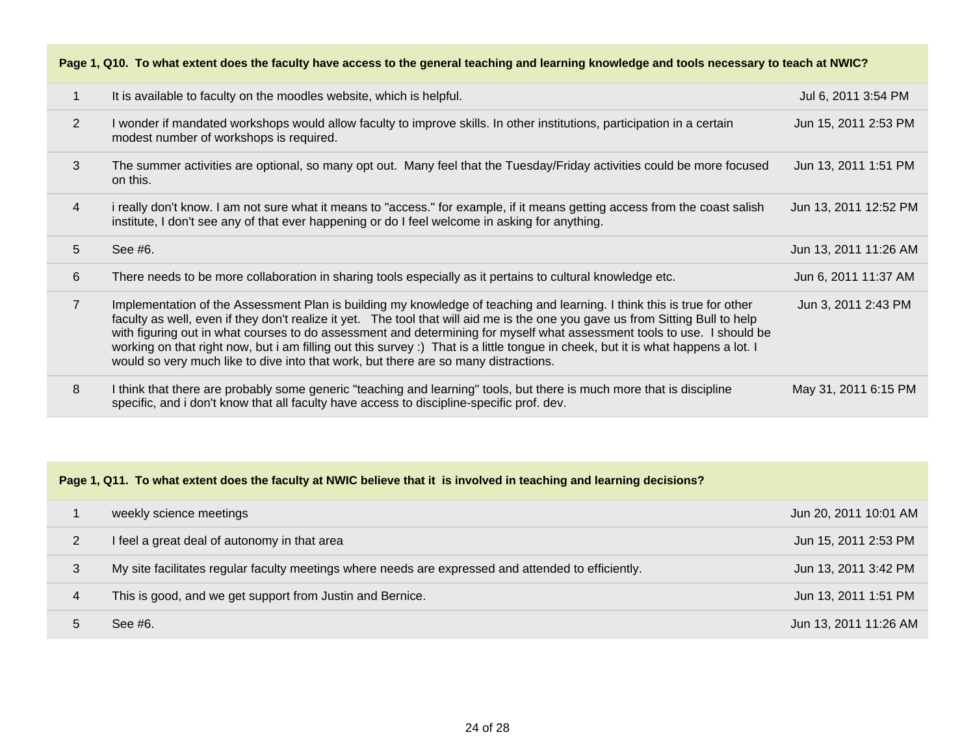| Page 1, Q10. To what extent does the faculty have access to the general teaching and learning knowledge and tools necessary to teach at NWIC? |                                                                                                                                                                                                                                                                                                                                                                                                                                                                                                                                                                                                                 |                       |
|-----------------------------------------------------------------------------------------------------------------------------------------------|-----------------------------------------------------------------------------------------------------------------------------------------------------------------------------------------------------------------------------------------------------------------------------------------------------------------------------------------------------------------------------------------------------------------------------------------------------------------------------------------------------------------------------------------------------------------------------------------------------------------|-----------------------|
| 1                                                                                                                                             | It is available to faculty on the moodles website, which is helpful.                                                                                                                                                                                                                                                                                                                                                                                                                                                                                                                                            | Jul 6, 2011 3:54 PM   |
| 2                                                                                                                                             | I wonder if mandated workshops would allow faculty to improve skills. In other institutions, participation in a certain<br>modest number of workshops is required.                                                                                                                                                                                                                                                                                                                                                                                                                                              | Jun 15, 2011 2:53 PM  |
| 3                                                                                                                                             | The summer activities are optional, so many opt out. Many feel that the Tuesday/Friday activities could be more focused<br>on this.                                                                                                                                                                                                                                                                                                                                                                                                                                                                             | Jun 13, 2011 1:51 PM  |
| $\overline{4}$                                                                                                                                | i really don't know. I am not sure what it means to "access." for example, if it means getting access from the coast salish<br>institute, I don't see any of that ever happening or do I feel welcome in asking for anything.                                                                                                                                                                                                                                                                                                                                                                                   | Jun 13, 2011 12:52 PM |
| 5                                                                                                                                             | See #6.                                                                                                                                                                                                                                                                                                                                                                                                                                                                                                                                                                                                         | Jun 13, 2011 11:26 AM |
| 6                                                                                                                                             | There needs to be more collaboration in sharing tools especially as it pertains to cultural knowledge etc.                                                                                                                                                                                                                                                                                                                                                                                                                                                                                                      | Jun 6, 2011 11:37 AM  |
| $\overline{7}$                                                                                                                                | Implementation of the Assessment Plan is building my knowledge of teaching and learning. I think this is true for other<br>faculty as well, even if they don't realize it yet. The tool that will aid me is the one you gave us from Sitting Bull to help<br>with figuring out in what courses to do assessment and determining for myself what assessment tools to use. I should be<br>working on that right now, but i am filling out this survey :) That is a little tongue in cheek, but it is what happens a lot. I<br>would so very much like to dive into that work, but there are so many distractions. | Jun 3, 2011 2:43 PM   |
| 8                                                                                                                                             | I think that there are probably some generic "teaching and learning" tools, but there is much more that is discipline<br>specific, and i don't know that all faculty have access to discipline-specific prof. dev.                                                                                                                                                                                                                                                                                                                                                                                              | May 31, 2011 6:15 PM  |

| Page 1, Q11. To what extent does the faculty at NWIC believe that it is involved in teaching and learning decisions? |                                                                                                     |                       |
|----------------------------------------------------------------------------------------------------------------------|-----------------------------------------------------------------------------------------------------|-----------------------|
|                                                                                                                      | weekly science meetings                                                                             | Jun 20, 2011 10:01 AM |
| 2                                                                                                                    | I feel a great deal of autonomy in that area                                                        | Jun 15, 2011 2:53 PM  |
| 3                                                                                                                    | My site facilitates regular faculty meetings where needs are expressed and attended to efficiently. | Jun 13, 2011 3:42 PM  |
| 4                                                                                                                    | This is good, and we get support from Justin and Bernice.                                           | Jun 13, 2011 1:51 PM  |
|                                                                                                                      | See #6.                                                                                             | Jun 13, 2011 11:26 AM |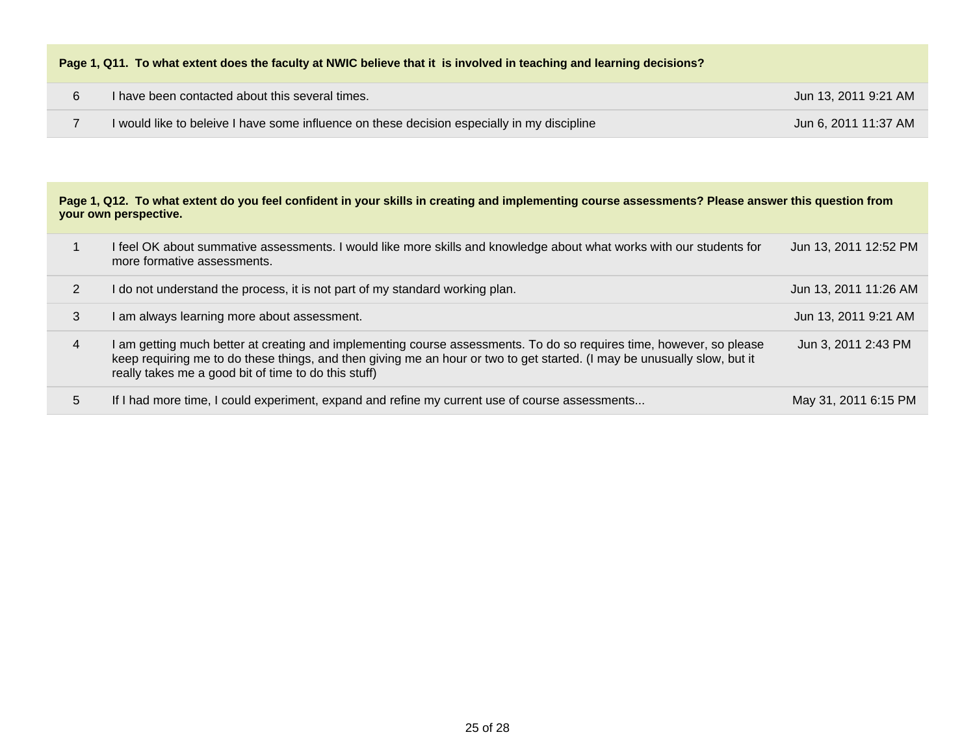| Page 1, Q11. To what extent does the faculty at NWIC believe that it is involved in teaching and learning decisions? |  |
|----------------------------------------------------------------------------------------------------------------------|--|
|----------------------------------------------------------------------------------------------------------------------|--|

| I have been contacted about this several times.                                             | Jun 13, 2011 9:21 AM |
|---------------------------------------------------------------------------------------------|----------------------|
| I would like to beleive I have some influence on these decision especially in my discipline | Jun 6, 2011 11:37 AM |

#### **Page 1, Q12. To what extent do you feel confident in your skills in creating and implementing course assessments? Please answer this question from your own perspective.**

|   | I feel OK about summative assessments. I would like more skills and knowledge about what works with our students for<br>more formative assessments.                                                                                                                                                      | Jun 13, 2011 12:52 PM |
|---|----------------------------------------------------------------------------------------------------------------------------------------------------------------------------------------------------------------------------------------------------------------------------------------------------------|-----------------------|
|   | do not understand the process, it is not part of my standard working plan.                                                                                                                                                                                                                               | Jun 13, 2011 11:26 AM |
| 3 | am always learning more about assessment.                                                                                                                                                                                                                                                                | Jun 13, 2011 9:21 AM  |
|   | I am getting much better at creating and implementing course assessments. To do so requires time, however, so please<br>keep requiring me to do these things, and then giving me an hour or two to get started. (I may be unusually slow, but it<br>really takes me a good bit of time to do this stuff) | Jun 3, 2011 2:43 PM   |
| 5 | If I had more time, I could experiment, expand and refine my current use of course assessments                                                                                                                                                                                                           | May 31, 2011 6:15 PM  |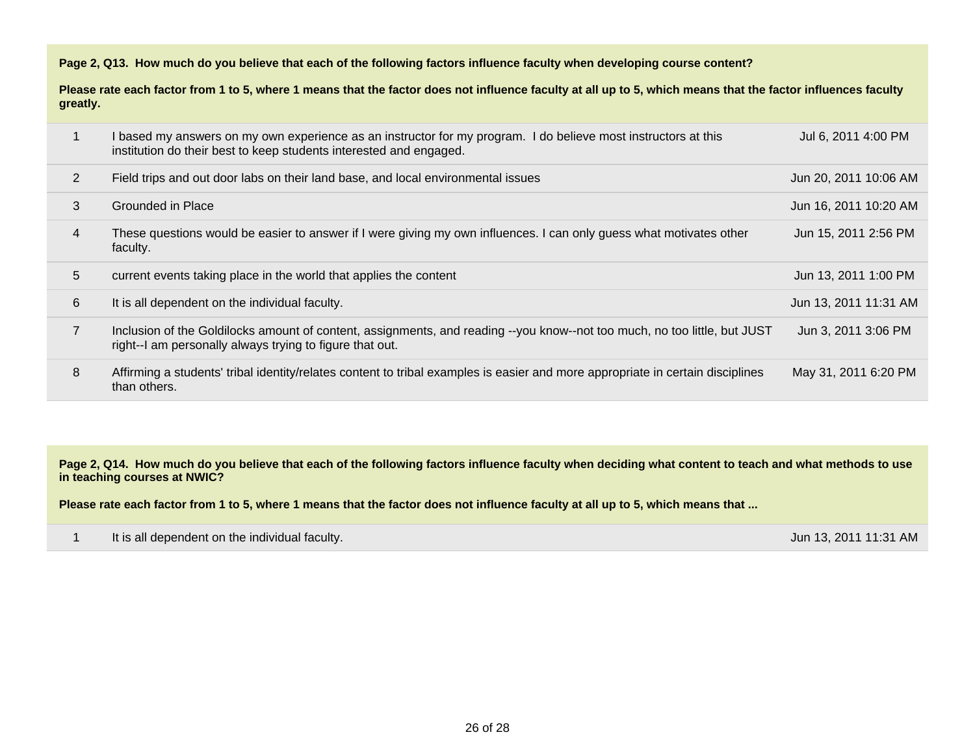**Page 2, Q13. How much do you believe that each of the following factors influence faculty when developing course content?** 

**Please rate each factor from 1 to 5, where 1 means that the factor does not influence faculty at all up to 5, which means that the factor influences faculty greatly.** 

|   | I based my answers on my own experience as an instructor for my program. I do believe most instructors at this<br>institution do their best to keep students interested and engaged.  | Jul 6, 2011 4:00 PM   |
|---|---------------------------------------------------------------------------------------------------------------------------------------------------------------------------------------|-----------------------|
| 2 | Field trips and out door labs on their land base, and local environmental issues                                                                                                      | Jun 20, 2011 10:06 AM |
| 3 | Grounded in Place                                                                                                                                                                     | Jun 16, 2011 10:20 AM |
| 4 | These questions would be easier to answer if I were giving my own influences. I can only guess what motivates other<br>faculty.                                                       | Jun 15, 2011 2:56 PM  |
| 5 | current events taking place in the world that applies the content                                                                                                                     | Jun 13, 2011 1:00 PM  |
| 6 | It is all dependent on the individual faculty.                                                                                                                                        | Jun 13, 2011 11:31 AM |
|   |                                                                                                                                                                                       |                       |
|   | Inclusion of the Goldilocks amount of content, assignments, and reading --you know--not too much, no too little, but JUST<br>right--I am personally always trying to figure that out. | Jun 3, 2011 3:06 PM   |

**Page 2, Q14. How much do you believe that each of the following factors influence faculty when deciding what content to teach and what methods to use in teaching courses at NWIC?** 

**Please rate each factor from 1 to 5, where 1 means that the factor does not influence faculty at all up to 5, which means that ...**

| It is all dependent on the individual faculty. | Jun 13, 2011 11:31 AM |
|------------------------------------------------|-----------------------|
|                                                |                       |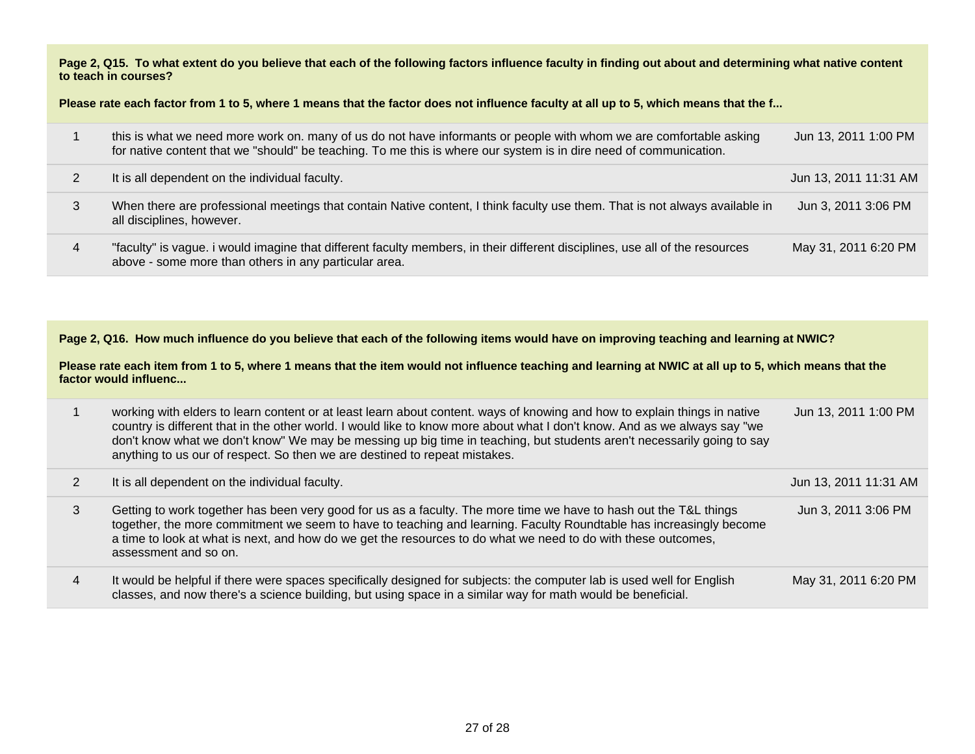**Page 2, Q15. To what extent do you believe that each of the following factors influence faculty in finding out about and determining what native content to teach in courses?** 

**Please rate each factor from 1 to 5, where 1 means that the factor does not influence faculty at all up to 5, which means that the f...**

|   | this is what we need more work on. many of us do not have informants or people with whom we are comfortable asking<br>for native content that we "should" be teaching. To me this is where our system is in dire need of communication. | Jun 13, 2011 1:00 PM  |
|---|-----------------------------------------------------------------------------------------------------------------------------------------------------------------------------------------------------------------------------------------|-----------------------|
|   | It is all dependent on the individual faculty.                                                                                                                                                                                          | Jun 13, 2011 11:31 AM |
|   | When there are professional meetings that contain Native content, I think faculty use them. That is not always available in<br>all disciplines, however.                                                                                | Jun 3, 2011 3:06 PM   |
| 4 | "faculty" is vague. i would imagine that different faculty members, in their different disciplines, use all of the resources<br>above - some more than others in any particular area.                                                   | May 31, 2011 6:20 PM  |

**Page 2, Q16. How much influence do you believe that each of the following items would have on improving teaching and learning at NWIC?** 

**Please rate each item from 1 to 5, where 1 means that the item would not influence teaching and learning at NWIC at all up to 5, which means that the factor would influenc...**

|   | working with elders to learn content or at least learn about content. ways of knowing and how to explain things in native<br>country is different that in the other world. I would like to know more about what I don't know. And as we always say "we<br>don't know what we don't know" We may be messing up big time in teaching, but students aren't necessarily going to say<br>anything to us our of respect. So then we are destined to repeat mistakes. | Jun 13, 2011 1:00 PM  |
|---|----------------------------------------------------------------------------------------------------------------------------------------------------------------------------------------------------------------------------------------------------------------------------------------------------------------------------------------------------------------------------------------------------------------------------------------------------------------|-----------------------|
|   | It is all dependent on the individual faculty.                                                                                                                                                                                                                                                                                                                                                                                                                 | Jun 13, 2011 11:31 AM |
| 3 | Getting to work together has been very good for us as a faculty. The more time we have to hash out the T&L things<br>together, the more commitment we seem to have to teaching and learning. Faculty Roundtable has increasingly become<br>a time to look at what is next, and how do we get the resources to do what we need to do with these outcomes,<br>assessment and so on.                                                                              | Jun 3, 2011 3:06 PM   |
| 4 | It would be helpful if there were spaces specifically designed for subjects: the computer lab is used well for English<br>classes, and now there's a science building, but using space in a similar way for math would be beneficial.                                                                                                                                                                                                                          | May 31, 2011 6:20 PM  |